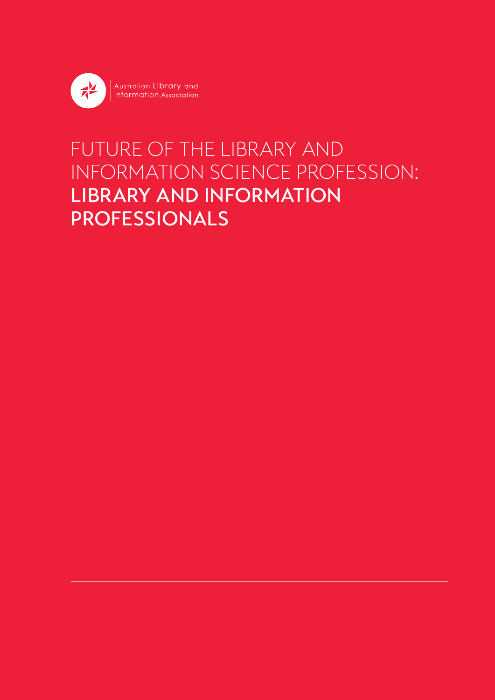

# FUTURE OF THE LIBRARY AND INFORMATION SCIENCE PROFESSION: LIBRARY AND INFORMATION PROFESSIONALS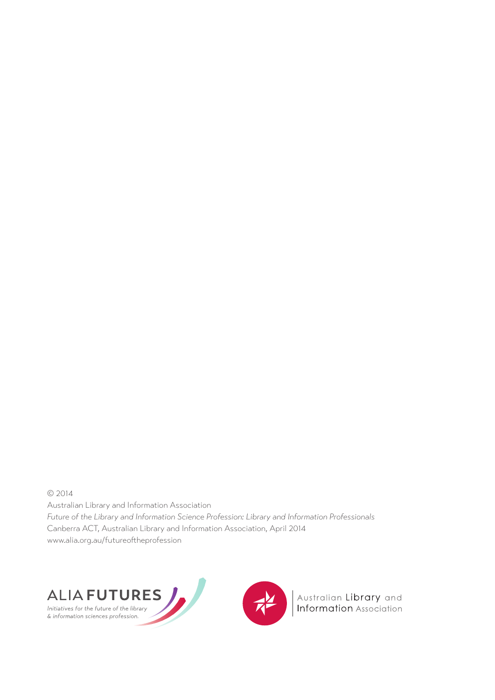© 2014 Australian Library and Information Association *Future of the Library and Information Science Profession: Library and Information Professionals* Canberra ACT, Australian Library and Information Association, April 2014 www.alia.org.au/futureoftheprofession





Australian Library and<br>Information Association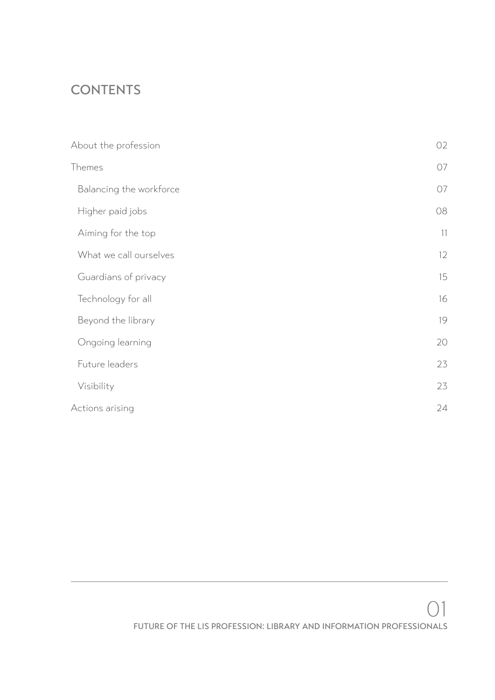# **CONTENTS**

| About the profession    | 02 |
|-------------------------|----|
| Themes                  | 07 |
| Balancing the workforce | 07 |
| Higher paid jobs        | 08 |
| Aiming for the top      | 11 |
| What we call ourselves  | 12 |
| Guardians of privacy    | 15 |
| Technology for all      | 16 |
| Beyond the library      | 19 |
| Ongoing learning        | 20 |
| Future leaders          | 23 |
| Visibility              | 23 |
| Actions arising         | 24 |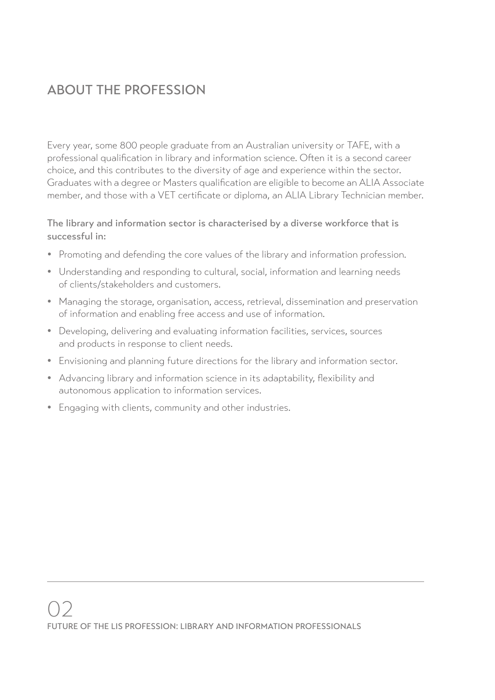# ABOUT THE PROFESSION

Every year, some 800 people graduate from an Australian university or TAFE, with a professional qualification in library and information science. Often it is a second career choice, and this contributes to the diversity of age and experience within the sector. Graduates with a degree or Masters qualification are eligible to become an ALIA Associate member, and those with a VET certificate or diploma, an ALIA Library Technician member.

#### The library and information sector is characterised by a diverse workforce that is successful in:

- Promoting and defending the core values of the library and information profession.
- Understanding and responding to cultural, social, information and learning needs of clients/stakeholders and customers.
- Managing the storage, organisation, access, retrieval, dissemination and preservation of information and enabling free access and use of information.
- Developing, delivering and evaluating information facilities, services, sources and products in response to client needs.
- Envisioning and planning future directions for the library and information sector.
- Advancing library and information science in its adaptability, flexibility and autonomous application to information services.
- Engaging with clients, community and other industries.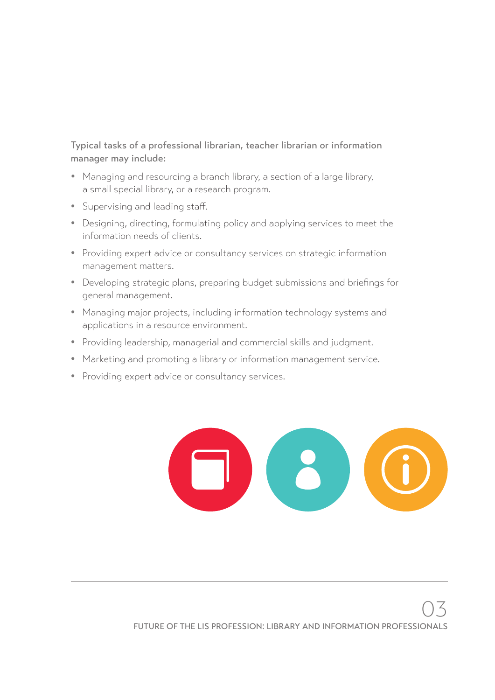Typical tasks of a professional librarian, teacher librarian or information manager may include:

- Managing and resourcing a branch library, a section of a large library, a small special library, or a research program.
- Supervising and leading staff.
- Designing, directing, formulating policy and applying services to meet the information needs of clients.
- Providing expert advice or consultancy services on strategic information management matters.
- Developing strategic plans, preparing budget submissions and briefings for general management.
- Managing major projects, including information technology systems and applications in a resource environment.
- Providing leadership, managerial and commercial skills and judgment.
- Marketing and promoting a library or information management service.
- Providing expert advice or consultancy services.

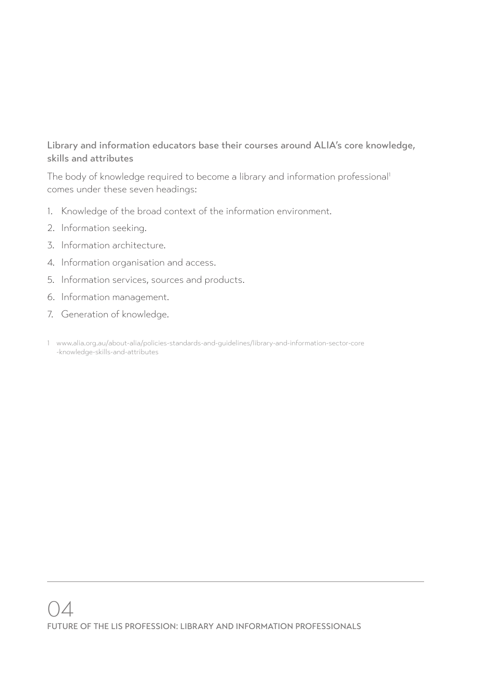#### Library and information educators base their courses around ALIA's core knowledge, skills and attributes

The body of knowledge required to become a library and information professional<sup>1</sup> comes under these seven headings:

- 1. Knowledge of the broad context of the information environment.
- 2. Information seeking.
- 3. Information architecture.
- 4. Information organisation and access.
- 5. Information services, sources and products.
- 6. Information management.
- 7. Generation of knowledge.
- 1 www.alia.org.au/about-alia/policies-standards-and-guidelines/library-and-information-sector-core -knowledge-skills-and-attributes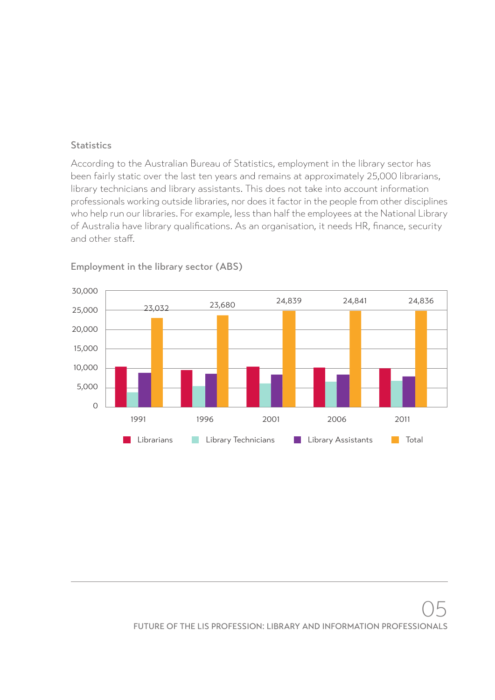#### **Statistics**

According to the Australian Bureau of Statistics, employment in the library sector has been fairly static over the last ten years and remains at approximately 25,000 librarians, library technicians and library assistants. This does not take into account information professionals working outside libraries, nor does it factor in the people from other disciplines who help run our libraries. For example, less than half the employees at the National Library of Australia have library qualifications. As an organisation, it needs HR, finance, security and other staff.



Employment in the library sector (ABS)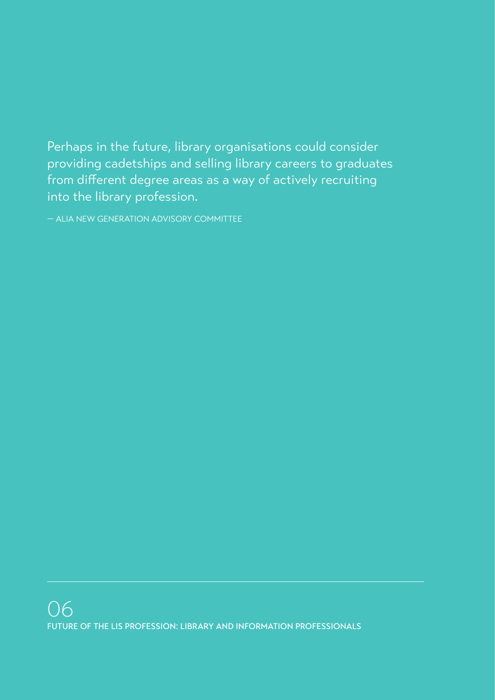Perhaps in the future, library organisations could consider providing cadetships and selling library careers to graduates from different degree areas as a way of actively recruiting into the library profession.

— ALIA NEW GENERATION ADVISORY COMMITTEE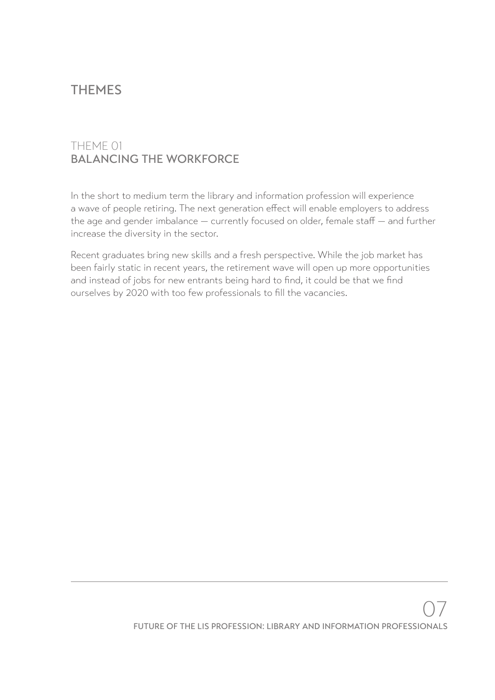# THEMES

#### THEME 01 BALANCING THE WORKFORCE

In the short to medium term the library and information profession will experience a wave of people retiring. The next generation effect will enable employers to address the age and gender imbalance — currently focused on older, female staff — and further increase the diversity in the sector.

Recent graduates bring new skills and a fresh perspective. While the job market has been fairly static in recent years, the retirement wave will open up more opportunities and instead of jobs for new entrants being hard to find, it could be that we find ourselves by 2020 with too few professionals to fill the vacancies.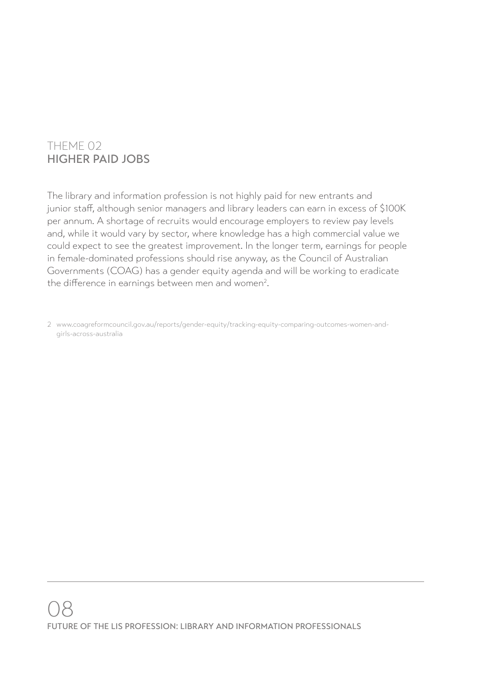### THEME 02 HIGHER PAID JOBS

The library and information profession is not highly paid for new entrants and junior staff, although senior managers and library leaders can earn in excess of \$100K per annum. A shortage of recruits would encourage employers to review pay levels and, while it would vary by sector, where knowledge has a high commercial value we could expect to see the greatest improvement. In the longer term, earnings for people in female-dominated professions should rise anyway, as the Council of Australian Governments (COAG) has a gender equity agenda and will be working to eradicate the difference in earnings between men and women<sup>2</sup>.

2 www.coagreformcouncil.gov.au/reports/gender-equity/tracking-equity-comparing-outcomes-women-andgirls-across-australia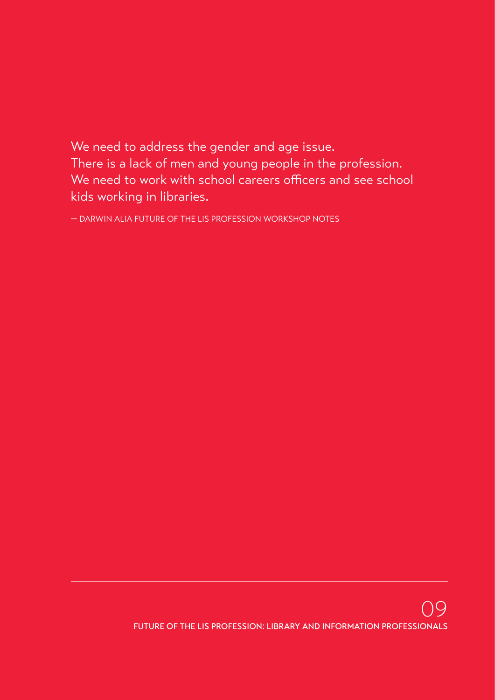We need to address the gender and age issue. There is a lack of men and young people in the profession. We need to work with school careers officers and see school kids working in libraries.

— DARWIN ALIA FUTURE OF THE LIS PROFESSION WORKSHOP NOTES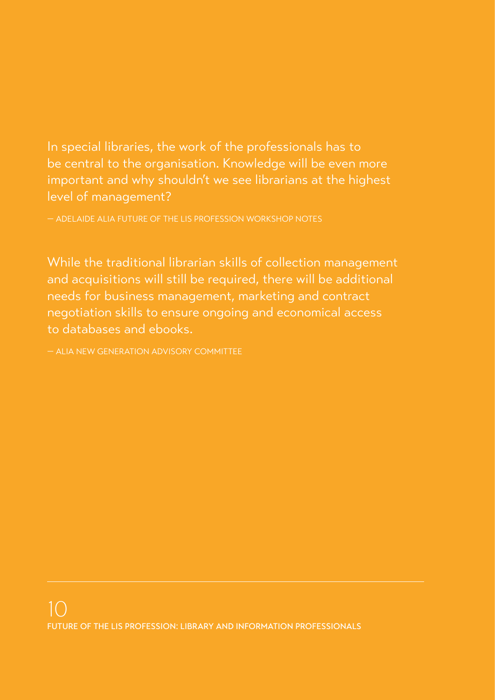In special libraries, the work of the professionals has to be central to the organisation. Knowledge will be even more important and why shouldn't we see librarians at the highest level of management?

— ADELAIDE ALIA FUTURE OF THE LIS PROFESSION WORKSHOP NOTES

While the traditional librarian skills of collection management and acquisitions will still be required, there will be additional needs for business management, marketing and contract negotiation skills to ensure ongoing and economical access to databases and ebooks.

— ALIA NEW GENERATION ADVISORY COMMITTEE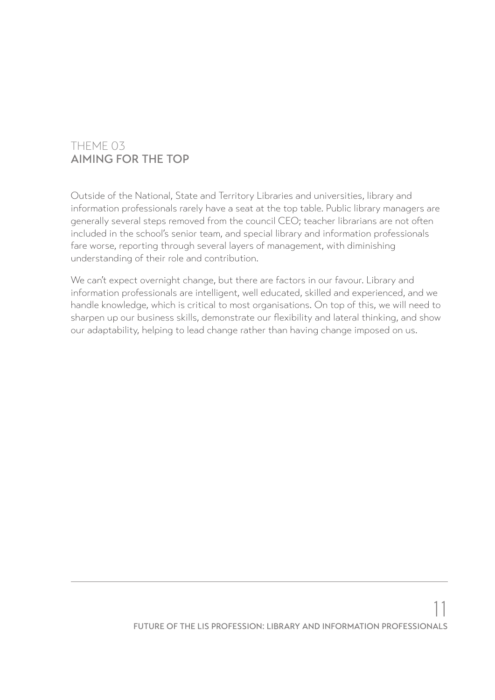#### THEME 03 AIMING FOR THE TOP

Outside of the National, State and Territory Libraries and universities, library and information professionals rarely have a seat at the top table. Public library managers are generally several steps removed from the council CEO; teacher librarians are not often included in the school's senior team, and special library and information professionals fare worse, reporting through several layers of management, with diminishing understanding of their role and contribution.

We can't expect overnight change, but there are factors in our favour. Library and information professionals are intelligent, well educated, skilled and experienced, and we handle knowledge, which is critical to most organisations. On top of this, we will need to sharpen up our business skills, demonstrate our flexibility and lateral thinking, and show our adaptability, helping to lead change rather than having change imposed on us.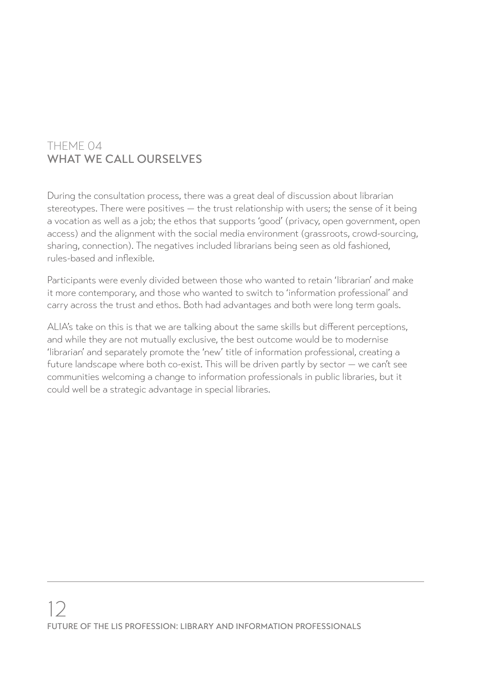### THEME 04 WHAT WE CALL OURSELVES

During the consultation process, there was a great deal of discussion about librarian stereotypes. There were positives — the trust relationship with users; the sense of it being a vocation as well as a job; the ethos that supports 'good' (privacy, open government, open access) and the alignment with the social media environment (grassroots, crowd-sourcing, sharing, connection). The negatives included librarians being seen as old fashioned, rules-based and inflexible.

Participants were evenly divided between those who wanted to retain 'librarian' and make it more contemporary, and those who wanted to switch to 'information professional' and carry across the trust and ethos. Both had advantages and both were long term goals.

ALIA's take on this is that we are talking about the same skills but different perceptions, and while they are not mutually exclusive, the best outcome would be to modernise 'librarian' and separately promote the 'new' title of information professional, creating a future landscape where both co-exist. This will be driven partly by sector — we can't see communities welcoming a change to information professionals in public libraries, but it could well be a strategic advantage in special libraries.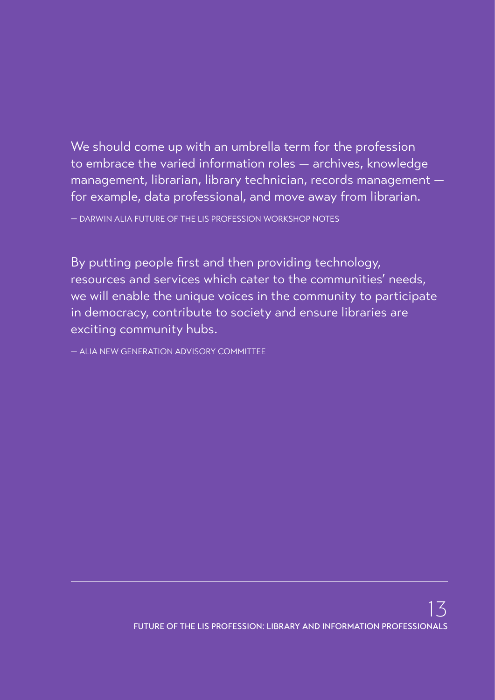We should come up with an umbrella term for the profession to embrace the varied information roles — archives, knowledge management, librarian, library technician, records management for example, data professional, and move away from librarian.

— DARWIN ALIA FUTURE OF THE LIS PROFESSION WORKSHOP NOTES

By putting people first and then providing technology, resources and services which cater to the communities' needs, we will enable the unique voices in the community to participate in democracy, contribute to society and ensure libraries are exciting community hubs.

— ALIA NEW GENERATION ADVISORY COMMITTEE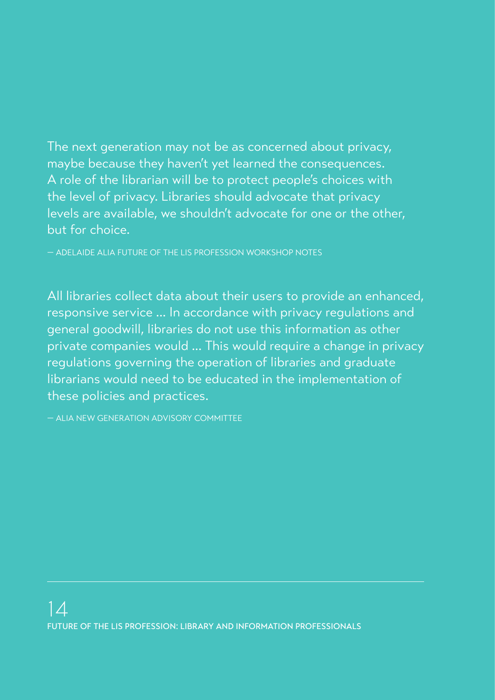The next generation may not be as concerned about privacy, maybe because they haven't yet learned the consequences. A role of the librarian will be to protect people's choices with the level of privacy. Libraries should advocate that privacy levels are available, we shouldn't advocate for one or the other, but for choice.

— ADELAIDE ALIA FUTURE OF THE LIS PROFESSION WORKSHOP NOTES

All libraries collect data about their users to provide an enhanced, responsive service ... In accordance with privacy regulations and general goodwill, libraries do not use this information as other private companies would ... This would require a change in privacy regulations governing the operation of libraries and graduate librarians would need to be educated in the implementation of these policies and practices.

— ALIA NEW GENERATION ADVISORY COMMITTEE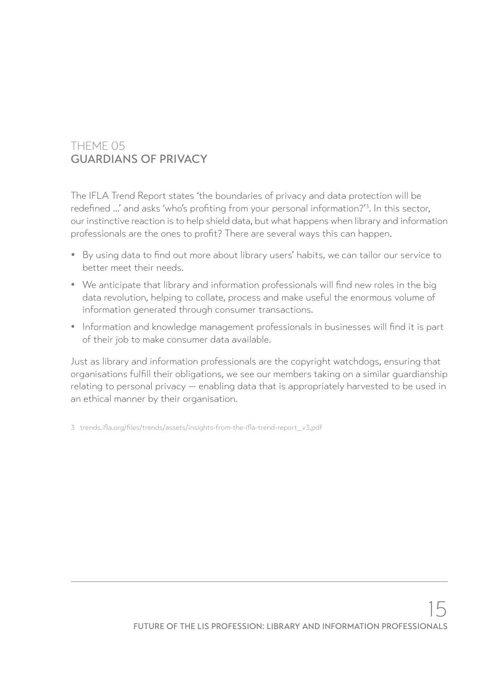### THEME 05 GUARDIANS OF PRIVACY

The IFLA Trend Report states 'the boundaries of privacy and data protection will be redefined ...' and asks 'who's profiting from your personal information?'3 . In this sector, our instinctive reaction is to help shield data, but what happens when library and information professionals are the ones to profit? There are several ways this can happen.

- By using data to find out more about library users' habits, we can tailor our service to better meet their needs.
- We anticipate that library and information professionals will find new roles in the big data revolution, helping to collate, process and make useful the enormous volume of information generated through consumer transactions.
- Information and knowledge management professionals in businesses will find it is part of their job to make consumer data available.

Just as library and information professionals are the copyright watchdogs, ensuring that organisations fulfill their obligations, we see our members taking on a similar guardianship relating to personal privacy — enabling data that is appropriately harvested to be used in an ethical manner by their organisation.

3 trends.ifla.org/files/trends/assets/insights-from-the-ifla-trend-report\_v3.pdf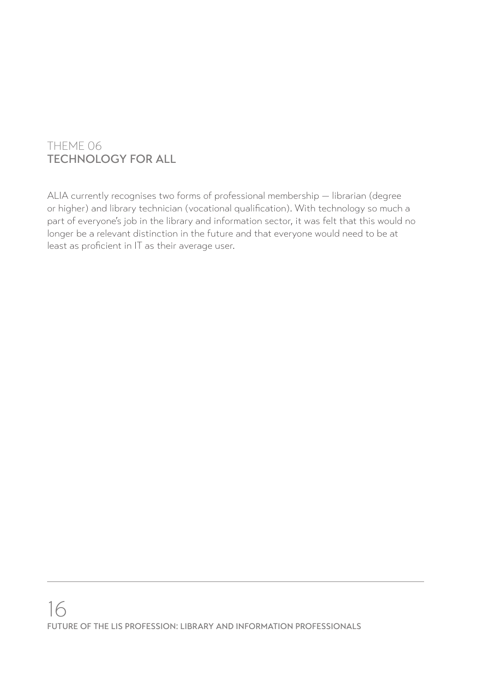### THEME 06 TECHNOLOGY FOR ALL

ALIA currently recognises two forms of professional membership — librarian (degree or higher) and library technician (vocational qualification). With technology so much a part of everyone's job in the library and information sector, it was felt that this would no longer be a relevant distinction in the future and that everyone would need to be at least as proficient in IT as their average user.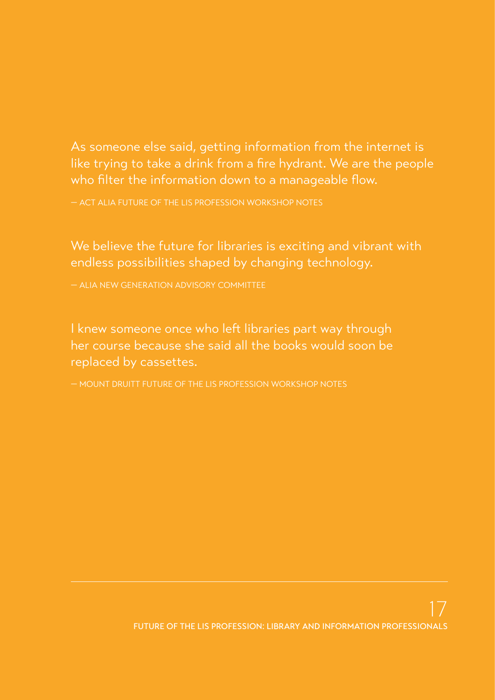# As someone else said, getting information from the internet is like trying to take a drink from a fire hydrant. We are the people who filter the information down to a manageable flow.

— ACT ALIA FUTURE OF THE LIS PROFESSION WORKSHOP NOTES

We believe the future for libraries is exciting and vibrant with endless possibilities shaped by changing technology.

— ALIA NEW GENERATION ADVISORY COMMITTEE

I knew someone once who left libraries part way through her course because she said all the books would soon be replaced by cassettes.

— MOUNT DRUITT FUTURE OF THE LIS PROFESSION WORKSHOP NOTES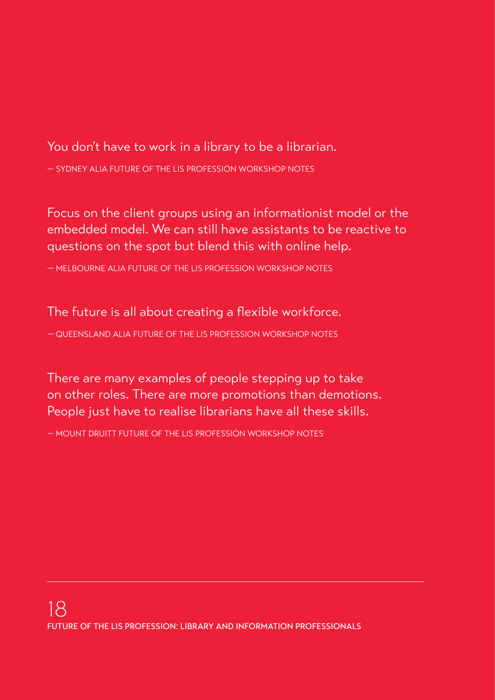## You don't have to work in a library to be a librarian.

— SYDNEY ALIA FUTURE OF THE LIS PROFESSION WORKSHOP NOTES

Focus on the client groups using an informationist model or the embedded model. We can still have assistants to be reactive to questions on the spot but blend this with online help.

— MELBOURNE ALIA FUTURE OF THE LIS PROFESSION WORKSHOP NOTES

The future is all about creating a flexible workforce.

— QUEENSLAND ALIA FUTURE OF THE LIS PROFESSION WORKSHOP NOTES

There are many examples of people stepping up to take on other roles. There are more promotions than demotions. People just have to realise librarians have all these skills.

— MOUNT DRUITT FUTURE OF THE LIS PROFESSION WORKSHOP NOTES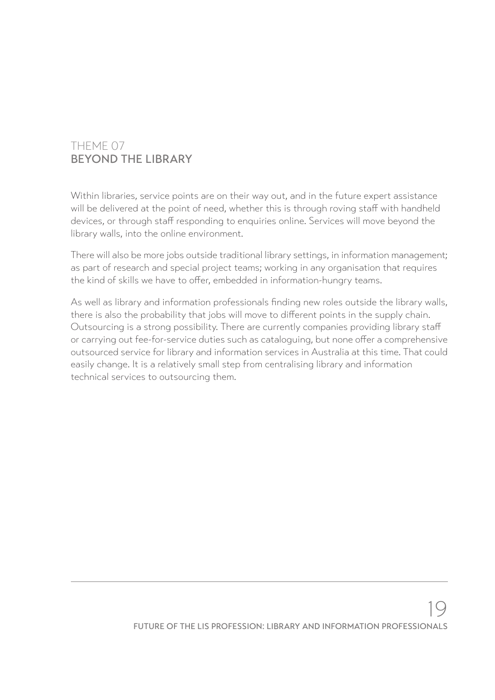#### THEME 07 BEYOND THE LIBRARY

Within libraries, service points are on their way out, and in the future expert assistance will be delivered at the point of need, whether this is through roving staff with handheld devices, or through staff responding to enquiries online. Services will move beyond the library walls, into the online environment.

There will also be more jobs outside traditional library settings, in information management; as part of research and special project teams; working in any organisation that requires the kind of skills we have to offer, embedded in information-hungry teams.

As well as library and information professionals finding new roles outside the library walls, there is also the probability that jobs will move to different points in the supply chain. Outsourcing is a strong possibility. There are currently companies providing library staff or carrying out fee-for-service duties such as cataloguing, but none offer a comprehensive outsourced service for library and information services in Australia at this time. That could easily change. It is a relatively small step from centralising library and information technical services to outsourcing them.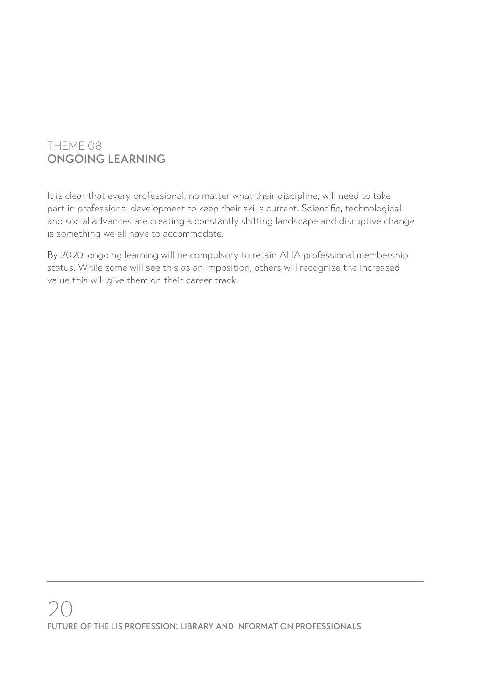### THEME 08 ONGOING LEARNING

It is clear that every professional, no matter what their discipline, will need to take part in professional development to keep their skills current. Scientific, technological and social advances are creating a constantly shifting landscape and disruptive change is something we all have to accommodate.

By 2020, ongoing learning will be compulsory to retain ALIA professional membership status. While some will see this as an imposition, others will recognise the increased value this will give them on their career track.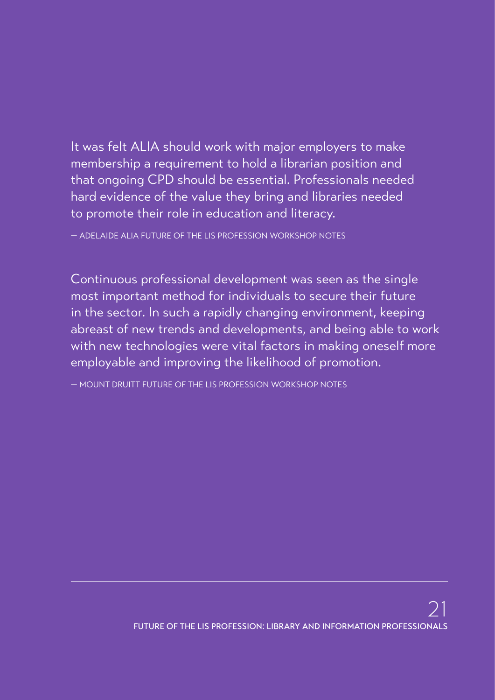It was felt ALIA should work with major employers to make membership a requirement to hold a librarian position and that ongoing CPD should be essential. Professionals needed hard evidence of the value they bring and libraries needed to promote their role in education and literacy.

— ADELAIDE ALIA FUTURE OF THE LIS PROFESSION WORKSHOP NOTES

Continuous professional development was seen as the single most important method for individuals to secure their future in the sector. In such a rapidly changing environment, keeping abreast of new trends and developments, and being able to work with new technologies were vital factors in making oneself more employable and improving the likelihood of promotion.

— MOUNT DRUITT FUTURE OF THE LIS PROFESSION WORKSHOP NOTES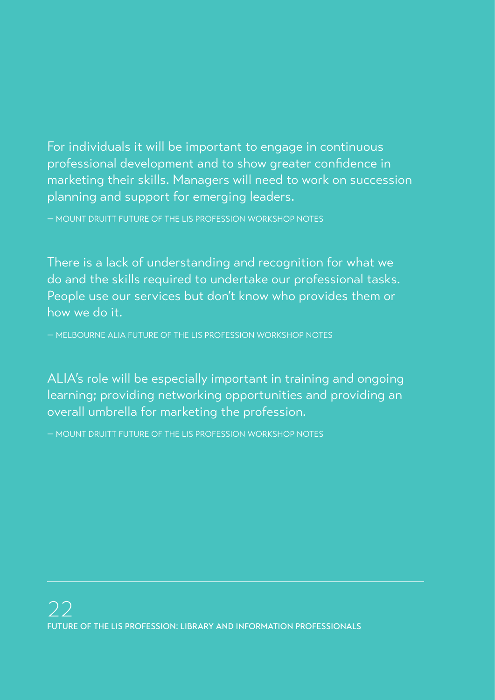For individuals it will be important to engage in continuous professional development and to show greater confidence in marketing their skills. Managers will need to work on succession planning and support for emerging leaders.

— MOUNT DRUITT FUTURE OF THE LIS PROFESSION WORKSHOP NOTES

There is a lack of understanding and recognition for what we do and the skills required to undertake our professional tasks. People use our services but don't know who provides them or how we do it.

— MELBOURNE ALIA FUTURE OF THE LIS PROFESSION WORKSHOP NOTES

ALIA's role will be especially important in training and ongoing learning; providing networking opportunities and providing an overall umbrella for marketing the profession.

— MOUNT DRUITT FUTURE OF THE LIS PROFESSION WORKSHOP NOTES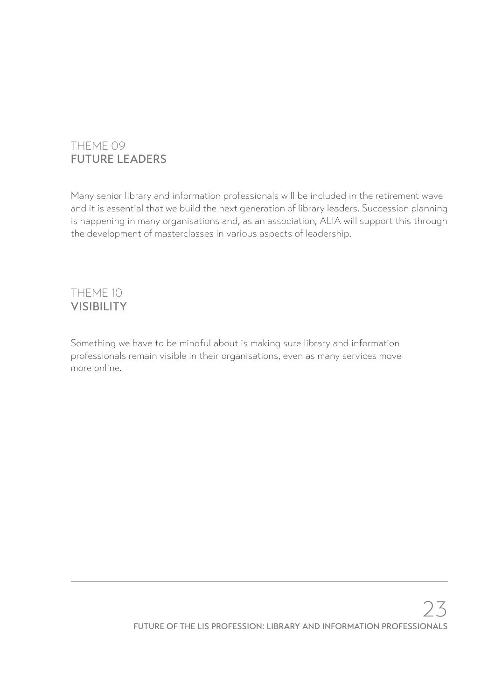### THEME 09 FUTURE LEADERS

Many senior library and information professionals will be included in the retirement wave and it is essential that we build the next generation of library leaders. Succession planning is happening in many organisations and, as an association, ALIA will support this through the development of masterclasses in various aspects of leadership.

#### THEME 10 VISIBILITY

Something we have to be mindful about is making sure library and information professionals remain visible in their organisations, even as many services move more online.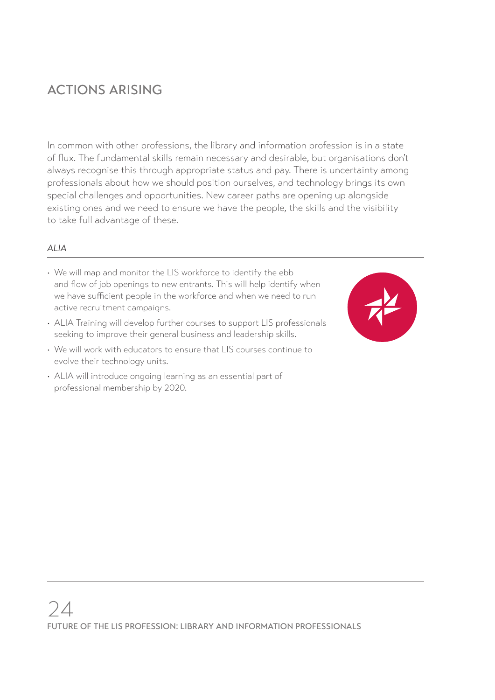# ACTIONS ARISING

In common with other professions, the library and information profession is in a state of flux. The fundamental skills remain necessary and desirable, but organisations don't always recognise this through appropriate status and pay. There is uncertainty among professionals about how we should position ourselves, and technology brings its own special challenges and opportunities. New career paths are opening up alongside existing ones and we need to ensure we have the people, the skills and the visibility to take full advantage of these.

#### *ALIA*

- We will map and monitor the LIS workforce to identify the ebb and flow of job openings to new entrants. This will help identify when we have sufficient people in the workforce and when we need to run active recruitment campaigns.
- ALIA Training will develop further courses to support LIS professionals seeking to improve their general business and leadership skills.
- We will work with educators to ensure that LIS courses continue to evolve their technology units.
- ALIA will introduce ongoing learning as an essential part of professional membership by 2020.